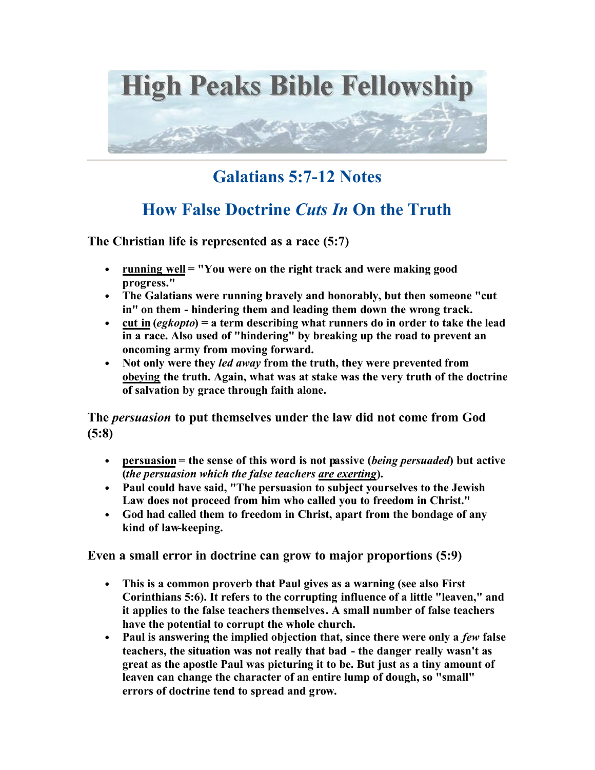

## **Galatians 5:7-12 Notes**

## **How False Doctrine** *Cuts In* **On the Truth**

**The Christian life is represented as a race (5:7)**

- **running well = "You were on the right track and were making good progress."**
- **The Galatians were running bravely and honorably, but then someone "cut in" on them - hindering them and leading them down the wrong track.**
- **cut in (***egkopto***) = a term describing what runners do in order to take the lead in a race. Also used of "hindering" by breaking up the road to prevent an oncoming army from moving forward.**
- **Not only were they** *led away* **from the truth, they were prevented from obeying the truth. Again, what was at stake was the very truth of the doctrine of salvation by grace through faith alone.**

**The** *persuasion* **to put themselves under the law did not come from God (5:8)**

- **persuasion = the sense of this word is not passive (***being persuaded***) but active (***the persuasion which the false teachers are exerting***).**
- **Paul could have said, "The persuasion to subject yourselves to the Jewish Law does not proceed from him who called you to freedom in Christ."**
- **God had called them to freedom in Christ, apart from the bondage of any kind of law-keeping.**

**Even a small error in doctrine can grow to major proportions (5:9)**

- **This is a common proverb that Paul gives as a warning (see also First Corinthians 5:6). It refers to the corrupting influence of a little "leaven," and it applies to the false teachers themselves. A small number of false teachers have the potential to corrupt the whole church.**
- Paul is answering the implied objection that, since there were only a *few* false **teachers, the situation was not really that bad - the danger really wasn't as great as the apostle Paul was picturing it to be. But just as a tiny amount of leaven can change the character of an entire lump of dough, so "small" errors of doctrine tend to spread and grow.**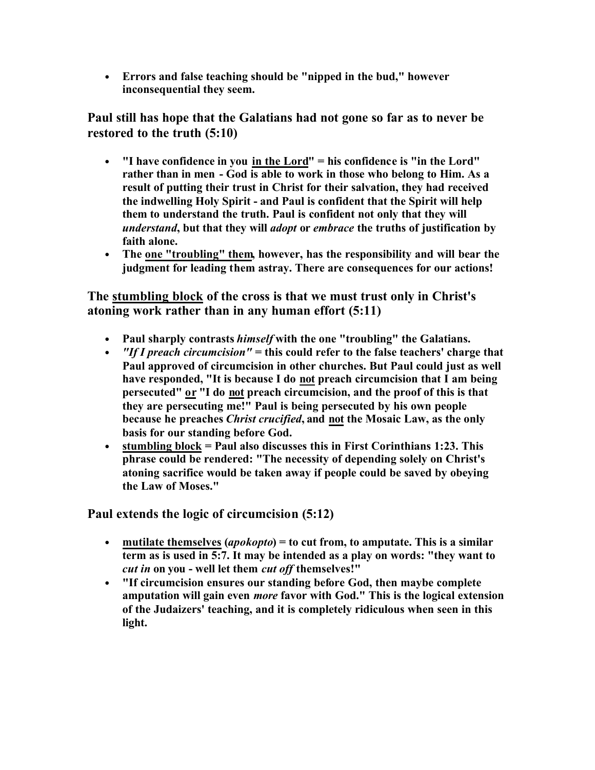• **Errors and false teaching should be "nipped in the bud," however inconsequential they seem.** 

**Paul still has hope that the Galatians had not gone so far as to never be restored to the truth (5:10)**

- **"I have confidence in you in the Lord" = his confidence is "in the Lord" rather than in men - God is able to work in those who belong to Him. As a result of putting their trust in Christ for their salvation, they had received the indwelling Holy Spirit - and Paul is confident that the Spirit will help them to understand the truth. Paul is confident not only that they will**  *understand***, but that they will** *adopt* **or** *embrace* **the truths of justification by faith alone.**
- **The one "troubling" them, however, has the responsibility and will bear the judgment for leading them astray. There are consequences for our actions!**

**The stumbling block of the cross is that we must trust only in Christ's atoning work rather than in any human effort (5:11)**

- **Paul sharply contrasts** *himself* **with the one "troubling" the Galatians.**
- *"If I preach circumcision"* **= this could refer to the false teachers' charge that Paul approved of circumcision in other churches. But Paul could just as well have responded, "It is because I do not preach circumcision that I am being persecuted" or "I do not preach circumcision, and the proof of this is that they are persecuting me!" Paul is being persecuted by his own people because he preaches** *Christ crucified***, and not the Mosaic Law, as the only basis for our standing before God.**
- **stumbling block = Paul also discusses this in First Corinthians 1:23. This phrase could be rendered: "The necessity of depending solely on Christ's atoning sacrifice would be taken away if people could be saved by obeying the Law of Moses."**

**Paul extends the logic of circumcision (5:12)**

- **mutilate themselves (***apokopto***) = to cut from, to amputate. This is a similar term as is used in 5:7. It may be intended as a play on words: "they want to**  *cut in* **on you - well let them** *cut off* **themselves!"**
- **"If circumcision ensures our standing before God, then maybe complete amputation will gain even** *more* **favor with God." This is the logical extension of the Judaizers' teaching, and it is completely ridiculous when seen in this light.**